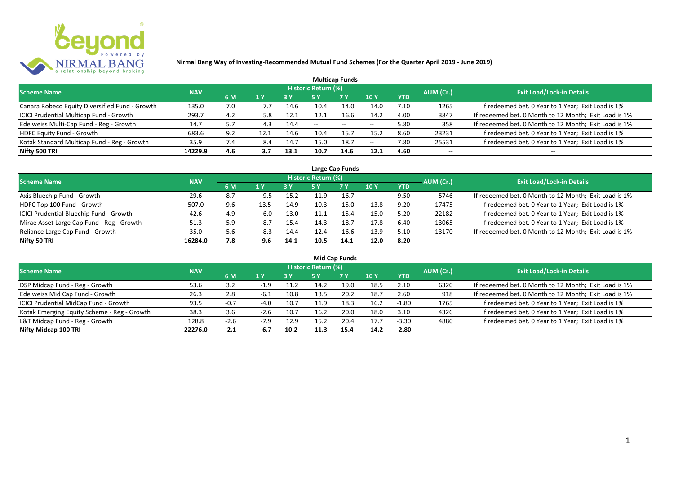

|                                                |            |               |      |           |                     | <b>Multicap Funds</b> |                          |            |           |                                                       |
|------------------------------------------------|------------|---------------|------|-----------|---------------------|-----------------------|--------------------------|------------|-----------|-------------------------------------------------------|
| <b>Scheme Name</b>                             | <b>NAV</b> |               |      |           | Historic Return (%) |                       |                          |            | AUM (Cr.) | <b>Exit Load/Lock-in Details</b>                      |
|                                                |            | 6 M           | 1 Y  | <b>3Y</b> |                     | <b>7 Y</b>            | <b>10Y</b>               | <b>YTD</b> |           |                                                       |
| Canara Robeco Equity Diversified Fund - Growth | 135.0      | 7.0           | 7.7  | 14.6      | 10.4                | 14.0                  | 14.0                     | 7.10       | 1265      | If redeemed bet. 0 Year to 1 Year; Exit Load is 1%    |
| ICICI Prudential Multicap Fund - Growth        | 293.7      | 4.2           | 5.8  | 12.1      | 12.1                | 16.6                  | 14.2                     | 4.00       | 3847      | If redeemed bet. 0 Month to 12 Month; Exit Load is 1% |
| Edelweiss Multi-Cap Fund - Reg - Growth        | 14.7       | 5.7           | 4.3  | 14.4      | $- -$               | $\sim$                | $\overline{\phantom{m}}$ | 5.80       | 358       | If redeemed bet. 0 Month to 12 Month; Exit Load is 1% |
| HDFC Equity Fund - Growth                      | 683.6      | 9.2           | 12.1 | 14.6      | 10.4                | 15.7                  | 15.2                     | 8.60       | 23231     | If redeemed bet. 0 Year to 1 Year; Exit Load is 1%    |
| Kotak Standard Multicap Fund - Reg - Growth    | 35.9       | $\mathcal{A}$ | 8.4  | 14.7      | 15.0                | 18.7                  | $\overline{\phantom{a}}$ | 7.80       | 25531     | If redeemed bet. 0 Year to 1 Year; Exit Load is 1%    |
| Nifty 500 TRI                                  | 14229.9    | 4.6           | 3.7  | 13.1      | 10.7                | 14.6                  | 12.1                     | 4.60       | $- -$     | --                                                    |

| Large Cap Funds                           |            |     |      |      |                            |           |       |            |           |                                                       |  |  |  |
|-------------------------------------------|------------|-----|------|------|----------------------------|-----------|-------|------------|-----------|-------------------------------------------------------|--|--|--|
| Scheme Name                               | <b>NAV</b> |     |      |      | <b>Historic Return (%)</b> |           |       |            | AUM (Cr.) | <b>Exit Load/Lock-in Details</b>                      |  |  |  |
|                                           |            | 6 M | 1 Y  | 3 Y  | 5 Y                        | <b>7Y</b> | 10Y   | <b>YTD</b> |           |                                                       |  |  |  |
| Axis Bluechip Fund - Growth               | 29.6       | 8.7 | 9.5  | 15.2 | 11.9                       | 16.7      | $- -$ | 9.50       | 5746      | If redeemed bet. 0 Month to 12 Month; Exit Load is 1% |  |  |  |
| HDFC Top 100 Fund - Growth                | 507.0      | 9.6 | 13.5 | 14.9 | 10.3                       | 15.0      | 13.8  | 9.20       | 17475     | If redeemed bet. 0 Year to 1 Year; Exit Load is 1%    |  |  |  |
| ICICI Prudential Bluechip Fund - Growth   | 42.6       | 4.9 | 6.0  | 13.0 | 11.1                       | 15.4      | 15.0  | 5.20       | 22182     | If redeemed bet. 0 Year to 1 Year; Exit Load is 1%    |  |  |  |
| Mirae Asset Large Cap Fund - Reg - Growth | 51.3       | 5.9 | 8.7  | 15.4 | 14.3                       | 18.7      | 17.8  | 6.40       | 13065     | If redeemed bet. 0 Year to 1 Year; Exit Load is 1%    |  |  |  |
| Reliance Large Cap Fund - Growth          | 35.0       | 5.6 | 8.3  | 14.4 | 12.4                       | 16.6      | 13.9  | 5.10       | 13170     | If redeemed bet. 0 Month to 12 Month; Exit Load is 1% |  |  |  |
| Nifty 50 TRI                              | 16284.0    | 7.8 | 9.6  | 14.1 | 10.5                       | 14.1      | 12.0  | 8.20       | --        | $- -$                                                 |  |  |  |

| <b>Mid Cap Funds</b>                        |            |        |        |      |                            |      |      |            |                          |                                                       |  |  |  |
|---------------------------------------------|------------|--------|--------|------|----------------------------|------|------|------------|--------------------------|-------------------------------------------------------|--|--|--|
| <b>Scheme Name</b>                          | <b>NAV</b> |        |        |      | <b>Historic Return (%)</b> |      |      |            | AUM (Cr.)                | <b>Exit Load/Lock-in Details</b>                      |  |  |  |
|                                             |            | 6 M    | 1 Y    | 3 Y  | 5 Y                        | 7 Y  | 10 Y | <b>YTD</b> |                          |                                                       |  |  |  |
| DSP Midcap Fund - Reg - Growth              | 53.6       | 3.2    | $-1.9$ | 11.2 | 14.2                       | 19.0 | 18.5 | 2.10       | 6320                     | If redeemed bet. 0 Month to 12 Month; Exit Load is 1% |  |  |  |
| Edelweiss Mid Cap Fund - Growth             | 26.3       | 2.8    | -6.⊥   | 10.8 | 13.5                       | 20.2 | 18.7 | 2.60       | 918                      | If redeemed bet. 0 Month to 12 Month; Exit Load is 1% |  |  |  |
| ICICI Prudential MidCap Fund - Growth       | 93.5       | $-0.7$ | $-4.0$ | 10.7 | 11.9                       | 18.3 | 16.2 | $-1.80$    | 1765                     | If redeemed bet. 0 Year to 1 Year; Exit Load is 1%    |  |  |  |
| Kotak Emerging Equity Scheme - Reg - Growth | 38.3       | 3.6    | $-2.6$ | 10.7 | 16.2                       | 20.0 | 18.0 | 3.10       | 4326                     | If redeemed bet. 0 Year to 1 Year; Exit Load is 1%    |  |  |  |
| L&T Midcap Fund - Reg - Growth              | 128.8      | $-2.6$ |        | 12.9 | 15.2                       | 20.4 | 17.7 | $-3.30$    | 4880                     | If redeemed bet. 0 Year to 1 Year; Exit Load is 1%    |  |  |  |
| Nifty Midcap 100 TRI                        | 22276.0    | $-2.1$ | -6.7   | 10.2 | 11.3                       | 15.4 | 14.2 | $-2.80$    | $\overline{\phantom{a}}$ | --                                                    |  |  |  |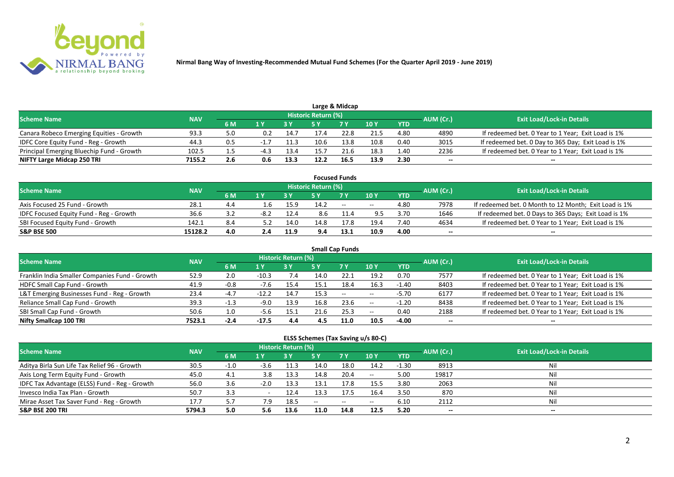

|                                           |            |     |        |      |                     | Large & Midcap |      |            |           |                                                    |
|-------------------------------------------|------------|-----|--------|------|---------------------|----------------|------|------------|-----------|----------------------------------------------------|
| <b>Scheme Name</b>                        | <b>NAV</b> |     |        |      | Historic Return (%) |                |      |            | AUM (Cr.) | <b>Exit Load/Lock-in Details</b>                   |
|                                           |            | 6 M |        |      |                     | 7 V            | 10 Y | <b>YTD</b> |           |                                                    |
| Canara Robeco Emerging Equities - Growth  | 93.3       | 5.0 | 0.2    | 14.7 |                     | 22.8           | 21.5 | 4.80       | 4890      | If redeemed bet. 0 Year to 1 Year; Exit Load is 1% |
| IDFC Core Equity Fund - Reg - Growth      | 44.3       | 0.5 |        | 11.3 | 10.6                | 13.8           | 10.8 | 0.40       | 3015      | If redeemed bet. 0 Day to 365 Day; Exit Load is 1% |
| Principal Emerging Bluechip Fund - Growth | 102.5      |     | $-4.3$ | 13.4 | 15.7                | 21.6           | 18.3 | 1.40       | 2236      | If redeemed bet. 0 Year to 1 Year; Exit Load is 1% |
| NIFTY Large Midcap 250 TRI                | 7155.2     | 2.6 |        | 13.3 | 12.2                | 16.5           | 13.9 | 2.30       | --        | $- -$                                              |

|                                         |            |     |        |      |                     | <b>Focused Funds</b> |       |            |           |                                                       |
|-----------------------------------------|------------|-----|--------|------|---------------------|----------------------|-------|------------|-----------|-------------------------------------------------------|
| <b>Scheme Name</b>                      | <b>NAV</b> |     |        |      | Historic Return (%) |                      |       |            | AUM (Cr.) | <b>Exit Load/Lock-in Details</b>                      |
|                                         |            | 6 M | 1 V    |      |                     | 7 Y                  | 10Y   | <b>YTD</b> |           |                                                       |
| Axis Focused 25 Fund - Growth           | 28.1       | 4.4 | ⊥.b    | 15.9 | 14.2                | $-$                  | $- -$ | 4.80       | 7978      | If redeemed bet. 0 Month to 12 Month; Exit Load is 1% |
| IDFC Focused Equity Fund - Reg - Growth | 36.6       |     | $-8.2$ | 12.4 | 8.6                 |                      | 9.5   | 3.70       | 1646      | If redeemed bet. 0 Days to 365 Days; Exit Load is 1%  |
| SBI Focused Equity Fund - Growth        | 142.1      | 8.4 |        | 14.0 | 14.8                | 17.8                 | 19.4  | 7.40       | 4634      | If redeemed bet. 0 Year to 1 Year; Exit Load is 1%    |
| <b>S&amp;P BSE 500</b>                  | 15128.2    | 4.0 | 2.4    | 11.9 | 9.4                 | 13.1                 | 10.9  | 4.00       | $- -$     | $\overline{\phantom{a}}$                              |

| <b>Small Cap Funds</b>                         |            |        |         |                     |      |           |            |            |           |                                                    |  |  |  |
|------------------------------------------------|------------|--------|---------|---------------------|------|-----------|------------|------------|-----------|----------------------------------------------------|--|--|--|
| <b>Scheme Name</b>                             | <b>NAV</b> |        |         | Historic Return (%) |      |           |            |            | AUM (Cr.) | <b>Exit Load/Lock-in Details</b>                   |  |  |  |
|                                                |            | 6 M    | 1 Y     |                     | 5 Y  | <b>7Y</b> | <b>10Y</b> | <b>YTD</b> |           |                                                    |  |  |  |
| Franklin India Smaller Companies Fund - Growth | 52.9       | 2.0    | $-10.3$ | 7.4                 | 14.0 |           | 19.2       | 0.70       | 7577      | If redeemed bet. 0 Year to 1 Year; Exit Load is 1% |  |  |  |
| HDFC Small Cap Fund - Growth                   | 41.9       | $-0.8$ | $-7.6$  | 15.4                | 15.1 | 18.4      | 16.3       | $-1.40$    | 8403      | If redeemed bet. 0 Year to 1 Year; Exit Load is 1% |  |  |  |
| L&T Emerging Businesses Fund - Reg - Growth    | 23.4       | $-4.7$ | $-12.2$ | 14.7                | 15.3 | $- -$     | $\sim$ $-$ | $-5.70$    | 6177      | If redeemed bet. 0 Year to 1 Year; Exit Load is 1% |  |  |  |
| Reliance Small Cap Fund - Growth               | 39.3       | $-1.3$ | $-9.0$  | 13.9                | 16.8 | 23.6      | $\sim$ $-$ | $-1.20$    | 8438      | If redeemed bet. 0 Year to 1 Year; Exit Load is 1% |  |  |  |
| SBI Small Cap Fund - Growth                    | 50.6       | 1.0    | -5.6    | 15.1                | 21.6 | 25.3      | $- -$      | 0.40       | 2188      | If redeemed bet. 0 Year to 1 Year; Exit Load is 1% |  |  |  |
| Nifty Smallcap 100 TRI                         | 7523.1     | -2.4   | $-17.5$ | 4.4                 | 4.5  | 11.0      | 10.5       | $-4.00$    | --        |                                                    |  |  |  |

#### **ELSS Schemes (Tax Saving u/s 80-C)**

| Scheme Name                                   | <b>NAV</b> |        |        | <b>Historic Return (%)</b> |      |                                                |                          |            | AUM (Cr.) | <b>Exit Load/Lock-in Details</b> |
|-----------------------------------------------|------------|--------|--------|----------------------------|------|------------------------------------------------|--------------------------|------------|-----------|----------------------------------|
|                                               |            | 6 M    |        |                            |      | 7 <sub>Y</sub>                                 | 10 Y                     | <b>YTD</b> |           |                                  |
| Aditya Birla Sun Life Tax Relief 96 - Growth  | 30.5       | $-1.0$ | $-3.6$ | 11.3                       | 14.0 | 18.0                                           | 14.2                     | $-1.30$    | 8913      | Nil                              |
| Axis Long Term Equity Fund - Growth           | 45.0       | 4.1    | 3.8    | 13.3                       | 14.8 | 20.4                                           | $- -$                    | 5.00       | 19817     | Nil                              |
| IDFC Tax Advantage (ELSS) Fund - Reg - Growth | 56.0       | 3.6    | $-2.0$ | 13.3                       | 13.1 | 17.8                                           | 15.5                     | 3.80       | 2063      | Nil                              |
| Invesco India Tax Plan - Growth               | 50.7       | 3.3    |        | 12.4                       | 13.3 | 17.5                                           | 16.4                     | 3.50       | 870       | Nil                              |
| Mirae Asset Tax Saver Fund - Reg - Growth     | 17.7       | 5.7    | 7.9    | 18.5                       | $-$  | $\hspace{0.1mm}-\hspace{0.1mm}-\hspace{0.1mm}$ | $\overline{\phantom{m}}$ | 6.10       | 2112      | Nil                              |
| <b>S&amp;P BSE 200 TRI</b>                    | 5794.3     | 5.0    | 5.6    | 13.6                       | 11.0 | 14.8                                           | 12.5                     | 5.20       | $-$       | $- -$                            |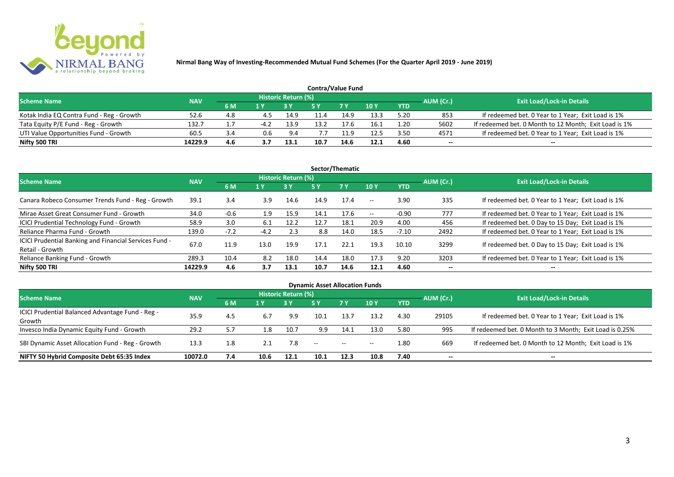

| <b>Contra/Value Fund</b>                  |            |     |     |                     |      |            |                 |            |           |                                                       |  |  |  |
|-------------------------------------------|------------|-----|-----|---------------------|------|------------|-----------------|------------|-----------|-------------------------------------------------------|--|--|--|
| <b>Scheme Name</b>                        | <b>NAV</b> |     |     | Historic Return (%) |      |            |                 |            | AUM (Cr.) | <b>Exit Load/Lock-in Details</b>                      |  |  |  |
|                                           |            | 6 M | 1 V |                     |      | <b>7 V</b> | 10 <sub>Y</sub> | <b>YTD</b> |           |                                                       |  |  |  |
| Kotak India EQ Contra Fund - Reg - Growth | 52.6       | 4.8 |     | 14.9                |      | 14.9       | 13.3            | 5.20       | 853       | If redeemed bet. 0 Year to 1 Year; Exit Load is 1%    |  |  |  |
| Tata Equity P/E Fund - Reg - Growth       | 132.7      |     | -42 | 13.9                | 13.2 | 17.6       | 16.1            | 1.20       | 5602      | If redeemed bet. 0 Month to 12 Month; Exit Load is 1% |  |  |  |
| UTI Value Opportunities Fund - Growth     | 60.5       |     | 0.6 | 9.4                 |      | 11.9       | 12.5            | 3.50       | 4571      | If redeemed bet. 0 Year to 1 Year; Exit Load is 1%    |  |  |  |
| Nifty 500 TRI                             | 14229.9    | 4.6 |     | 13.1                | 10.7 | 14.6       | 12.1            | 4.60       | --        | $- -$                                                 |  |  |  |

| Sector/Thematic                                                           |            |        |        |                            |      |           |                          |            |           |                                                    |  |  |  |
|---------------------------------------------------------------------------|------------|--------|--------|----------------------------|------|-----------|--------------------------|------------|-----------|----------------------------------------------------|--|--|--|
| <b>Scheme Name</b>                                                        | <b>NAV</b> |        |        | <b>Historic Return (%)</b> |      |           |                          |            | AUM (Cr.) | <b>Exit Load/Lock-in Details</b>                   |  |  |  |
|                                                                           |            | 6 M    | 1 Y    | <b>3 Y</b>                 | 5 Y  | <b>7Y</b> | <b>10Y</b>               | <b>YTD</b> |           |                                                    |  |  |  |
| Canara Robeco Consumer Trends Fund - Reg - Growth                         | 39.1       | 3.4    | 3.9    | 14.6                       | 14.9 | 17.4      | $ -$                     | 3.90       | 335       | If redeemed bet. 0 Year to 1 Year; Exit Load is 1% |  |  |  |
| Mirae Asset Great Consumer Fund - Growth                                  | 34.0       | $-0.6$ | 1.9    | 15.9                       | 14.1 | 17.6      | $\overline{\phantom{a}}$ | $-0.90$    | 777       | If redeemed bet. 0 Year to 1 Year; Exit Load is 1% |  |  |  |
| <b>ICICI Prudential Technology Fund - Growth</b>                          | 58.9       | 3.0    | 6.1    | 12.2                       | 12.7 | 18.1      | 20.9                     | 4.00       | 456       | If redeemed bet. 0 Day to 15 Day; Exit Load is 1%  |  |  |  |
| Reliance Pharma Fund - Growth                                             | 139.0      | $-7.2$ | $-4.2$ | 2.3                        | 8.8  | 14.0      | 18.5                     | $-7.10$    | 2492      | If redeemed bet. 0 Year to 1 Year; Exit Load is 1% |  |  |  |
| ICICI Prudential Banking and Financial Services Fund -<br>Retail - Growth | 67.0       | 11.9   | 13.0   | 19.9                       | 17.1 | 22.1      | 19.3                     | 10.10      | 3299      | If redeemed bet. 0 Day to 15 Day; Exit Load is 1%  |  |  |  |
| Reliance Banking Fund - Growth                                            | 289.3      | 10.4   | 8.2    | 18.0                       | 14.4 | 18.0      | 17.3                     | 9.20       | 3203      | If redeemed bet. 0 Year to 1 Year; Exit Load is 1% |  |  |  |
| Nifty 500 TRI                                                             | 14229.9    | 4.6    | 3.7    | 13.1                       | 10.7 | 14.6      | 12.1                     | 4.60       | $- -$     | $\overline{\phantom{a}}$                           |  |  |  |

| <b>Dynamic Asset Allocation Funds</b>            |            |     |      |                            |                                                |           |            |            |                          |                                                         |  |  |  |
|--------------------------------------------------|------------|-----|------|----------------------------|------------------------------------------------|-----------|------------|------------|--------------------------|---------------------------------------------------------|--|--|--|
| <b>Scheme Name</b>                               | <b>NAV</b> |     |      | <b>Historic Return (%)</b> |                                                |           |            |            |                          | <b>Exit Load/Lock-in Details</b>                        |  |  |  |
|                                                  |            | 6 M | 1 Y  |                            | <b>5 Y</b>                                     | <b>7Y</b> | <b>10Y</b> | <b>YTD</b> | AUM (Cr.)                |                                                         |  |  |  |
| ICICI Prudential Balanced Advantage Fund - Reg - | 35.9       |     | 6.7  | 9.9                        | 10.1                                           | 13.7      | 13.2       | 4.30       | 29105                    | If redeemed bet. 0 Year to 1 Year; Exit Load is 1%      |  |  |  |
| Growth                                           |            | 4.5 |      |                            |                                                |           |            |            |                          |                                                         |  |  |  |
| Invesco India Dynamic Equity Fund - Growth       | 29.2       | 5.7 | 1.8  | 10.7                       | 9.9                                            | 14.1      | 13.0       | 5.80       | 995                      | If redeemed bet. 0 Month to 3 Month; Exit Load is 0.25% |  |  |  |
| SBI Dynamic Asset Allocation Fund - Reg - Growth | 13.3       | 1.8 | 2.1  | 7.8                        | $\hspace{0.1mm}-\hspace{0.1mm}-\hspace{0.1mm}$ | $\sim$    | $--$       | 1.80       | 669                      | If redeemed bet. 0 Month to 12 Month; Exit Load is 1%   |  |  |  |
| NIFTY 50 Hybrid Composite Debt 65:35 Index       | 10072.0    | 7.4 | 10.6 | 12.1                       | 10.1                                           | 12.3      | 10.8       | 7.40       | $\overline{\phantom{a}}$ | $- -$                                                   |  |  |  |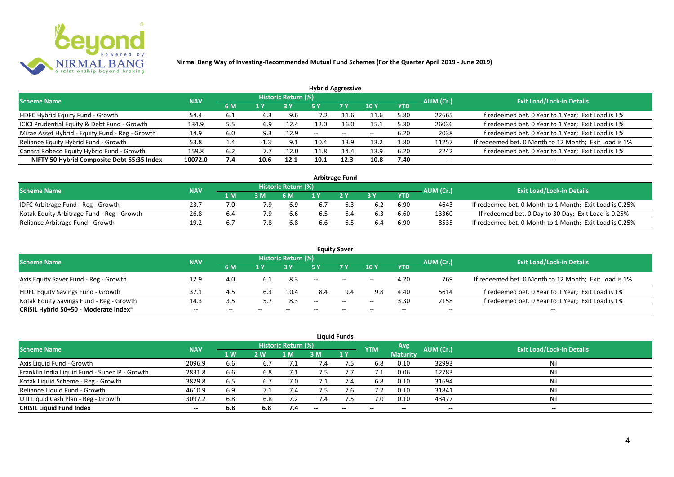

| <b>Hybrid Aggressive</b>                        |            |      |        |                     |      |        |            |            |           |                                                       |  |  |  |
|-------------------------------------------------|------------|------|--------|---------------------|------|--------|------------|------------|-----------|-------------------------------------------------------|--|--|--|
| <b>Scheme Name</b>                              | <b>NAV</b> |      |        | Historic Return (%) |      |        |            |            | AUM (Cr.) | <b>Exit Load/Lock-in Details</b>                      |  |  |  |
|                                                 |            | 6 M  | 1 Y    |                     | 5 Y  | 7 Y    | <b>10Y</b> | <b>YTD</b> |           |                                                       |  |  |  |
| HDFC Hybrid Equity Fund - Growth                | 54.4       | -6.1 | 6.3    | 9.6                 |      | $-1.6$ | 11.6       | 5.80       | 22665     | If redeemed bet. 0 Year to 1 Year; Exit Load is 1%    |  |  |  |
| ICICI Prudential Equity & Debt Fund - Growth    | 134.9      | 5.5  | 6.9    | 12.4                | 12.0 | 16.0   | 15.1       | 5.30       | 26036     | If redeemed bet. 0 Year to 1 Year; Exit Load is 1%    |  |  |  |
| Mirae Asset Hybrid - Equity Fund - Reg - Growth | 14.9       | 6.0  | 9.3    | 12.9                | --   | $\sim$ | $- -$      | 6.20       | 2038      | If redeemed bet. 0 Year to 1 Year; Exit Load is 1%    |  |  |  |
| Reliance Equity Hybrid Fund - Growth            | 53.8       | 1.4  | $-1.3$ | 9.1                 | 10.4 | 13.9   | 13.2       | 1.80       | 11257     | If redeemed bet. 0 Month to 12 Month; Exit Load is 1% |  |  |  |
| Canara Robeco Equity Hybrid Fund - Growth       | 159.8      | 6.2  | 7.7    | 12.0                | 11.8 | 14.4   | 13.9       | 6.20       | 2242      | If redeemed bet. 0 Year to 1 Year; Exit Load is 1%    |  |  |  |
| NIFTY 50 Hybrid Composite Debt 65:35 Index      | 10072.0    | 7.4  | 10.6   | 12.1                | 10.1 | 12.3   | 10.8       | 7.40       | --        |                                                       |  |  |  |
|                                                 |            |      |        |                     |      |        |            |            |           |                                                       |  |  |  |

| <b>Arbitrage Fund</b>                      |            |      |     |                            |     |     |     |            |           |                                                         |  |  |  |
|--------------------------------------------|------------|------|-----|----------------------------|-----|-----|-----|------------|-----------|---------------------------------------------------------|--|--|--|
| <b>Scheme Name</b>                         | <b>NAV</b> |      |     | <b>Historic Return (%)</b> |     |     |     |            | AUM (Cr.) | <b>Exit Load/Lock-in Details</b>                        |  |  |  |
|                                            |            | 1 M. |     | 6 M                        |     | 2V  |     | <b>YTD</b> |           |                                                         |  |  |  |
| IDFC Arbitrage Fund - Reg - Growth         | 23.7       |      | 7.9 | 6.9                        |     |     | 6.2 | 6.90       | 4643      | If redeemed bet. 0 Month to 1 Month; Exit Load is 0.25% |  |  |  |
| Kotak Equity Arbitrage Fund - Reg - Growth | 26.8       | b.4  | 7.9 | b.b                        | 6.5 | 6.4 | 6.3 | 6.60       | 13360     | If redeemed bet. 0 Day to 30 Day; Exit Load is 0.25%    |  |  |  |
| Reliance Arbitrage Fund - Growth           | 19.2       |      |     | 6.8                        | d.c |     | 6.4 | 6.90       | 8535      | If redeemed bet. 0 Month to 1 Month; Exit Load is 0.25% |  |  |  |

|                                          |            |       |       |                     |                          | <b>Equity Saver</b> |                          |            |                          |                                                       |
|------------------------------------------|------------|-------|-------|---------------------|--------------------------|---------------------|--------------------------|------------|--------------------------|-------------------------------------------------------|
| <b>Scheme Name</b>                       | <b>NAV</b> |       |       | Historic Return (%) |                          |                     |                          |            | AUM (Cr.)                | <b>Exit Load/Lock-in Details</b>                      |
|                                          |            | 6 M   |       |                     |                          | <b>7 Y</b>          | <b>10Y</b>               | <b>YTD</b> |                          |                                                       |
| Axis Equity Saver Fund - Reg - Growth    | 12.9       | 4.0   | 6.1   | 8.3                 | $\overline{\phantom{a}}$ | $\sim$              | $\overline{\phantom{a}}$ | 4.20       | 769                      | If redeemed bet. 0 Month to 12 Month; Exit Load is 1% |
| HDFC Equity Savings Fund - Growth        | 37.1       | 4.5   | 6.3   | 10.4                | 8.4                      | 9.4                 | 9.8                      | 4.40       | 5614                     | If redeemed bet. 0 Year to 1 Year; Exit Load is 1%    |
| Kotak Equity Savings Fund - Reg - Growth | 14.3       |       |       | 8.3                 | $-$                      | $\sim$ $\sim$       | $- -$                    | 3.30       | 2158                     | If redeemed bet. 0 Year to 1 Year; Exit Load is 1%    |
| CRISIL Hybrid 50+50 - Moderate Index*    | $- -$      | $- -$ | $- -$ | $- -$               |                          | $- -$               | $\overline{\phantom{a}}$ | $- -$      | $\overline{\phantom{a}}$ | $- -$                                                 |

| <b>Liquid Funds</b>                            |            |           |     |                     |     |       |            |                 |                          |                                  |  |  |  |  |
|------------------------------------------------|------------|-----------|-----|---------------------|-----|-------|------------|-----------------|--------------------------|----------------------------------|--|--|--|--|
| Scheme Name                                    | <b>NAV</b> |           |     | Historic Return (%) |     |       | <b>YTM</b> | Avg.            | AUM (Cr.)                | <b>Exit Load/Lock-in Details</b> |  |  |  |  |
|                                                |            | <b>1W</b> | 2 W | 1 M                 | 3 M | 1Y    |            | <b>Maturity</b> |                          |                                  |  |  |  |  |
| Axis Liquid Fund - Growth                      | 2096.9     | 6.6       | 6.7 |                     |     |       | 6.8        | 0.10            | 32993                    | Nil                              |  |  |  |  |
| Franklin India Liquid Fund - Super IP - Growth | 2831.8     | 6.6       | 6.8 |                     | 7.5 |       |            | 0.06            | 12783                    | Nil                              |  |  |  |  |
| Kotak Liquid Scheme - Reg - Growth             | 3829.8     | 6.5       | 6.7 | 7.0                 |     | 7.4   | 6.8        | 0.10            | 31694                    | Nil                              |  |  |  |  |
| Reliance Liquid Fund - Growth                  | 4610.9     | 6.9       |     | 7.4                 | 7.5 | 7.6   | 7.2        | 0.10            | 31841                    | Nil                              |  |  |  |  |
| UTI Liquid Cash Plan - Reg - Growth            | 3097.2     | 6.8       | 6.8 |                     |     |       | 7.0        | 0.10            | 43477                    | Nil                              |  |  |  |  |
| <b>CRISIL Liquid Fund Index</b>                | $- -$      | 6.8       | 6.8 | 7.4                 | $-$ | $- -$ | $- -$      | --              | $\overline{\phantom{a}}$ | $-$                              |  |  |  |  |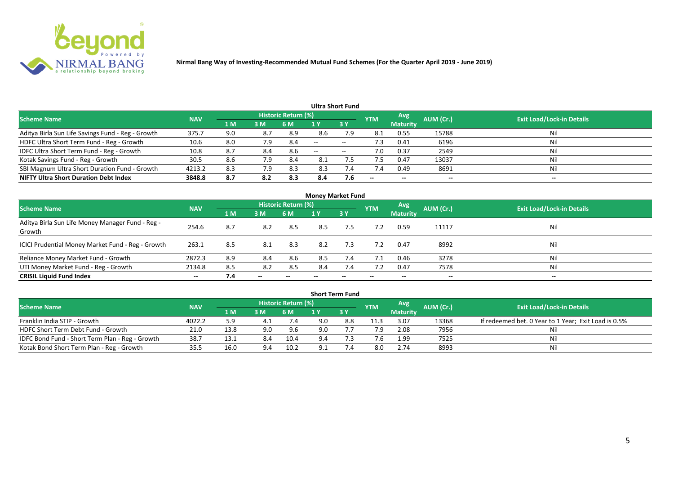

|                                                   |            |     |     |                            |       | Ultra Short Fund  |                          |                 |           |                                  |
|---------------------------------------------------|------------|-----|-----|----------------------------|-------|-------------------|--------------------------|-----------------|-----------|----------------------------------|
| <b>Scheme Name</b>                                | <b>NAV</b> |     |     | <b>Historic Return (%)</b> |       |                   | <b>YTM</b>               | Avg             | AUM (Cr.) | <b>Exit Load/Lock-in Details</b> |
|                                                   |            | 1 M | 3M  | 6 M                        |       | 3Y                |                          | <b>Maturity</b> |           |                                  |
| Aditya Birla Sun Life Savings Fund - Reg - Growth | 375.7      | 9.0 | 8.7 | 8.9                        | 8.6   | 7.9               | 8.1                      | 0.55            | 15788     | Nil                              |
| HDFC Ultra Short Term Fund - Reg - Growth         | 10.6       | 8.0 | 7.9 | 8.4                        | $-$   | $- -$             | د. ا                     | 0.41            | 6196      | Nil                              |
| IDFC Ultra Short Term Fund - Reg - Growth         | 10.8       | 8.7 | 8.4 | 8.6                        | $- -$ | $\hspace{0.05cm}$ | 7.0                      | 0.37            | 2549      | Nil                              |
| Kotak Savings Fund - Reg - Growth                 | 30.5       | 8.6 | 7.9 | 8.4                        | 8.1   |                   |                          | 0.47            | 13037     | Nil                              |
| SBI Magnum Ultra Short Duration Fund - Growth     | 4213.2     | 8.3 | 7.9 | 8.3                        | 8.3   | 7.4               | 7.4                      | 0.49            | 8691      | Nil                              |
| <b>NIFTY Ultra Short Duration Debt Index</b>      | 3848.8     | 8.7 | 8.2 | 8.3                        | 8.4   | 7.6               | $\overline{\phantom{a}}$ | $- -$           | --        | $- -$                            |

| <b>Money Market Fund</b>                                   |            |                |       |                     |     |           |            |                 |           |                                  |  |  |  |
|------------------------------------------------------------|------------|----------------|-------|---------------------|-----|-----------|------------|-----------------|-----------|----------------------------------|--|--|--|
| <b>Scheme Name</b>                                         | <b>NAV</b> |                |       | Historic Return (%) |     |           | <b>YTM</b> | Avg             | AUM (Cr.) | <b>Exit Load/Lock-in Details</b> |  |  |  |
|                                                            |            | 1 <sub>M</sub> | 3 M   | 6 M                 | 1 Y | <b>3Y</b> |            | <b>Maturity</b> |           |                                  |  |  |  |
| Aditya Birla Sun Life Money Manager Fund - Reg -<br>Growth | 254.6      | 8.7            | 8.2   | 8.5                 | 8.5 | 7.5       | 7.2        | 0.59            | 11117     | Nil                              |  |  |  |
| ICICI Prudential Money Market Fund - Reg - Growth          | 263.1      | 8.5            | 8.1   | 8.3                 | 8.2 | 7.3       | 7.2        | 0.47            | 8992      | Nil                              |  |  |  |
| Reliance Money Market Fund - Growth                        | 2872.3     | 8.9            | 8.4   | 8.6                 | 8.5 | 7.4       | 7.1        | 0.46            | 3278      | Nil                              |  |  |  |
| UTI Money Market Fund - Reg - Growth                       | 2134.8     | 8.5            | 8.2   | 8.5                 | 8.4 | 7.4       |            | 0.47            | 7578      | Nil                              |  |  |  |
| <b>CRISIL Liquid Fund Index</b>                            | $- -$      | 7.4            | $- -$ |                     |     |           | --         | $- -$           | $- -$     | $- -$                            |  |  |  |

|                                                 |            |      |     |                            |     | <b>Short Term Fund</b> |            |                 |           |                                                      |
|-------------------------------------------------|------------|------|-----|----------------------------|-----|------------------------|------------|-----------------|-----------|------------------------------------------------------|
| <b>Scheme Name</b>                              | <b>NAV</b> |      |     | <b>Historic Return (%)</b> |     |                        | <b>YTM</b> | <b>Avg</b>      | AUM (Cr.) | <b>Exit Load/Lock-in Details</b>                     |
|                                                 |            | 1 M  | 3M  | 6 M                        |     | 73 Y                   |            | <b>Maturity</b> |           |                                                      |
| Franklin India STIP - Growth                    | 4022.2     | 5.9  |     | 7.4                        | 9.0 | 8.8                    | 11.3       | 3.07            | 13368     | If redeemed bet. 0 Year to 1 Year; Exit Load is 0.5% |
| HDFC Short Term Debt Fund - Growth              | 21.0       | 13.8 | 9.0 | 9.6                        | 9.0 |                        | 7.9        | 2.08            | 7956      |                                                      |
| IDFC Bond Fund - Short Term Plan - Reg - Growth | 38.7       | 13.1 | 8.4 | 10.4                       | 9.4 |                        |            | 1.99            | 7525      | Nil                                                  |
| Kotak Bond Short Term Plan - Reg - Growth       | 35.5       | 16.0 |     | 10.2                       |     |                        | 8.0        | 2.74            | 8993      | Nil                                                  |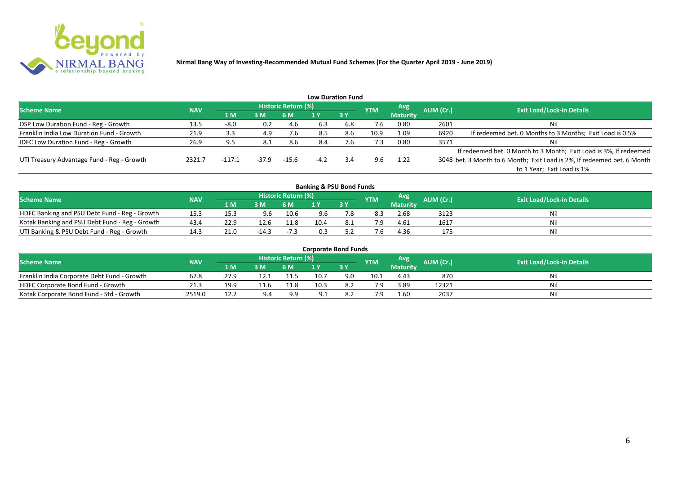

|                                              |            |          |       |                     |        | <b>Low Duration Fund</b> |            |                 |           |                                                                         |
|----------------------------------------------|------------|----------|-------|---------------------|--------|--------------------------|------------|-----------------|-----------|-------------------------------------------------------------------------|
| <b>Scheme Name</b>                           | <b>NAV</b> |          |       | Historic Return (%) |        |                          | <b>YTM</b> | Avg             | AUM (Cr.) | <b>Exit Load/Lock-in Details</b>                                        |
|                                              |            | 71 M.    | 3 M   | 6 M                 |        | 3Y                       |            | <b>Maturity</b> |           |                                                                         |
| DSP Low Duration Fund - Reg - Growth         | 13.5       | $-8.0$   | 0.2   | 4.6                 | 6.3    | 6.8                      | 7.6        | 0.80            | 2601      | Nil                                                                     |
| Franklin India Low Duration Fund - Growth    | 21.9       | 3.3      | 4.9   | 7.6                 | 8.5    | 8.6                      | 10.9       | 1.09            | 6920      | If redeemed bet. 0 Months to 3 Months; Exit Load is 0.5%                |
| <b>IDFC Low Duration Fund - Reg - Growth</b> | 26.9       | 9.5      | 8.1   | 8.6                 | 8.4    | $^{\prime}$ .6           | 7.3        | 0.80            | 3571      | Nil                                                                     |
|                                              |            |          |       |                     |        |                          |            |                 |           | If redeemed bet. 0 Month to 3 Month; Exit Load is 3%, If redeemed       |
| UTI Treasury Advantage Fund - Reg - Growth   | 2321.7     | $-117.1$ | -37.9 | $-15.6$             | $-4.2$ | 3.4                      | 9.6        | 1.22            |           | 3048 bet. 3 Month to 6 Month; Exit Load is 2%, If redeemed bet. 6 Month |
|                                              |            |          |       |                     |        |                          |            |                 |           | to 1 Year; Exit Load is 1%                                              |
|                                              |            |          |       |                     |        |                          |            |                 |           |                                                                         |

| <b>Banking &amp; PSU Bond Funds</b>            |            |      |         |                     |      |      |            |            |           |                                  |  |  |  |  |
|------------------------------------------------|------------|------|---------|---------------------|------|------|------------|------------|-----------|----------------------------------|--|--|--|--|
| <b>Scheme Name</b>                             | <b>NAV</b> |      |         | Historic Return (%) |      |      | <b>YTM</b> | <b>Avg</b> | AUM (Cr.) | <b>Exit Load/Lock-in Details</b> |  |  |  |  |
|                                                |            | 1 M  | 3M      | 6 M                 |      | 3Y   |            | Maturity   |           |                                  |  |  |  |  |
| HDFC Banking and PSU Debt Fund - Reg - Growth  | 15.3       | 15.3 | 9.6     | 10.6                | 9.6  |      | 8.3        | 2.68       | 3123      | Nil                              |  |  |  |  |
| Kotak Banking and PSU Debt Fund - Reg - Growth | 43.4       | 22.9 | 12.6    | 11.8                | 10.4 | -8.1 |            | 4.61       | 1617      | Nil                              |  |  |  |  |
| UTI Banking & PSU Debt Fund - Reg - Growth     | 14.3       | 21.0 | $-14.3$ | $-7.3$              | 0.3  |      |            | 4.36       | 175       | Nil                              |  |  |  |  |

| <b>Corporate Bond Funds</b>                 |            |       |      |                            |      |      |            |                 |           |                                  |  |  |  |
|---------------------------------------------|------------|-------|------|----------------------------|------|------|------------|-----------------|-----------|----------------------------------|--|--|--|
| <b>Scheme Name</b>                          | <b>NAV</b> |       |      | <b>Historic Return (%)</b> |      |      | <b>YTM</b> | Avg'            | AUM (Cr.) | <b>Exit Load/Lock-in Details</b> |  |  |  |
|                                             |            | 4 M 4 | 3M   | 6 M                        |      | 73 Y |            | <b>Maturity</b> |           |                                  |  |  |  |
| Franklin India Corporate Debt Fund - Growth | 67.8       | 27.9  |      | 11.5                       | 10.7 |      | 10.1       | 4.43            | 870       | Nil                              |  |  |  |
| HDFC Corporate Bond Fund - Growth           | 21.3       | 19.9  | 11.6 | 11.8                       | 10.3 | 8.2  |            | 3.89            | 12321     | Nil                              |  |  |  |
| Kotak Corporate Bond Fund - Std - Growth    | 2519.0     | 12.2  | 9.4  | 9.9                        |      |      |            | 1.60            | 2037      | Nil                              |  |  |  |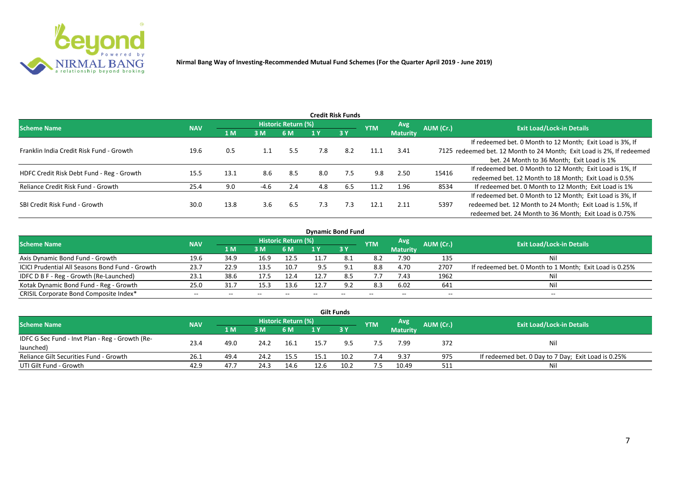

|                                           |            |      |        |                     |     | <b>Credit Risk Funds</b> |            |                 |           |                                                                       |
|-------------------------------------------|------------|------|--------|---------------------|-----|--------------------------|------------|-----------------|-----------|-----------------------------------------------------------------------|
| <b>Scheme Name</b>                        | <b>NAV</b> |      |        | Historic Return (%) |     |                          | <b>YTM</b> | <b>Avg</b>      | AUM (Cr.) | <b>Exit Load/Lock-in Details</b>                                      |
|                                           |            | 1 M  | 3M     | 6 M                 |     | 3Y                       |            | <b>Maturity</b> |           |                                                                       |
|                                           |            |      |        |                     |     |                          |            |                 |           | If redeemed bet. 0 Month to 12 Month; Exit Load is 3%, If             |
| Franklin India Credit Risk Fund - Growth  | 19.6       | 0.5  |        | 5.5                 | 7.8 | 8.2                      | 11.1       | 3.41            |           | 7125 redeemed bet. 12 Month to 24 Month; Exit Load is 2%, If redeemed |
|                                           |            |      |        |                     |     |                          |            |                 |           | bet. 24 Month to 36 Month; Exit Load is 1%                            |
| HDFC Credit Risk Debt Fund - Reg - Growth | 15.5       | 13.1 | 8.6    | 8.5                 | 8.0 | 7.5                      | 9.8        | 2.50            | 15416     | If redeemed bet. 0 Month to 12 Month; Exit Load is 1%, If             |
|                                           |            |      |        |                     |     |                          |            |                 |           | redeemed bet. 12 Month to 18 Month; Exit Load is 0.5%                 |
| Reliance Credit Risk Fund - Growth        | 25.4       | 9.0  | $-4.6$ | 2.4                 | 4.8 | 6.5                      | 11.2       | 1.96            | 8534      | If redeemed bet. 0 Month to 12 Month; Exit Load is 1%                 |
|                                           |            |      |        |                     |     |                          |            |                 |           | If redeemed bet. 0 Month to 12 Month; Exit Load is 3%, If             |
| SBI Credit Risk Fund - Growth             | 30.0       | 13.8 | 3.6    | 6.5                 | 7.3 | 7.3                      | 12.1       | 2.11            | 5397      | redeemed bet. 12 Month to 24 Month; Exit Load is 1.5%, If             |
|                                           |            |      |        |                     |     |                          |            |                 |           | redeemed bet. 24 Month to 36 Month; Exit Load is 0.75%                |

| <b>Dynamic Bond Fund</b>                        |            |       |       |                          |      |           |            |                          |           |                                                         |  |  |  |  |
|-------------------------------------------------|------------|-------|-------|--------------------------|------|-----------|------------|--------------------------|-----------|---------------------------------------------------------|--|--|--|--|
| <b>Scheme Name</b>                              | <b>NAV</b> |       |       | Historic Return (%)      |      |           | <b>YTM</b> | Avg                      | AUM (Cr.) | <b>Exit Load/Lock-in Details</b>                        |  |  |  |  |
|                                                 |            | 1 M   | 3M    | 6 M                      |      | <b>3Y</b> |            | <b>Maturity</b>          |           |                                                         |  |  |  |  |
| Axis Dynamic Bond Fund - Growth                 | 19.6       | 34.9  | 16.9  | 12.5                     |      |           | 8.2        | 7.90                     | 135       | Νi                                                      |  |  |  |  |
| ICICI Prudential All Seasons Bond Fund - Growth | 23.7       | 22.9  | 13.5  | 10.7                     |      |           | 8.8        | 4.70                     | 2707      | If redeemed bet. 0 Month to 1 Month; Exit Load is 0.25% |  |  |  |  |
| IDFC D B F - Reg - Growth (Re-Launched)         | 23.1       | 38.6  | 17.5  | 12.4                     | 12.7 | 8.5       | 7.7        | 7.43                     | 1962      |                                                         |  |  |  |  |
| Kotak Dynamic Bond Fund - Reg - Growth          | 25.0       | 31.7  | 15.3  | 13.6                     | 12.7 | 9.2       | 8.3        | 6.02                     | 641       | Νi                                                      |  |  |  |  |
| CRISIL Corporate Bond Composite Index*          | $- -$      | $- -$ | $- -$ | $\overline{\phantom{a}}$ |      | $- -$     |            | $\overline{\phantom{a}}$ | $- -$     | $-$                                                     |  |  |  |  |

|                                                 |            |       |      |                     |      | <b>Gilt Funds</b> |            |                 |           |                                                     |
|-------------------------------------------------|------------|-------|------|---------------------|------|-------------------|------------|-----------------|-----------|-----------------------------------------------------|
| <b>Scheme Name</b>                              | <b>NAV</b> |       |      | Historic Return (%) |      |                   | <b>YTM</b> | <b>Avg</b>      | AUM (Cr.) | <b>Exit Load/Lock-in Details</b>                    |
|                                                 |            | 4 M / | 3M   | 6 M                 | 1 Y  | $-3V$             |            | <b>Maturity</b> |           |                                                     |
| IDFC G Sec Fund - Invt Plan - Reg - Growth (Re- | 23.4       | 49.0  | 24.2 |                     | 15.7 | 9.5               |            | 7.99            |           |                                                     |
| launched)                                       |            |       |      | 16.1                |      |                   |            |                 | 372       | Nil                                                 |
| Reliance Gilt Securities Fund - Growth          | 26.1       | 49.4  | 24.2 | 15.5                | 15.1 | 10.2              |            | 9.37            | 975       | If redeemed bet. 0 Day to 7 Day; Exit Load is 0.25% |
| UTI Gilt Fund - Growth                          | 42.9       | 47.7  | 24.3 | 14.6                | 12.6 | 10.2              | 7.5        | 10.49           | 511       | Nil                                                 |